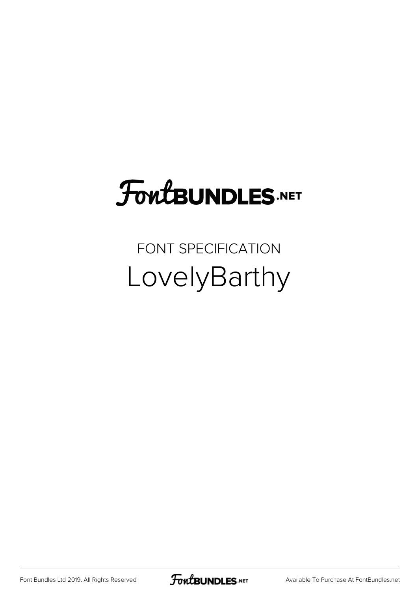## **FoutBUNDLES.NET**

### FONT SPECIFICATION LovelyBarthy

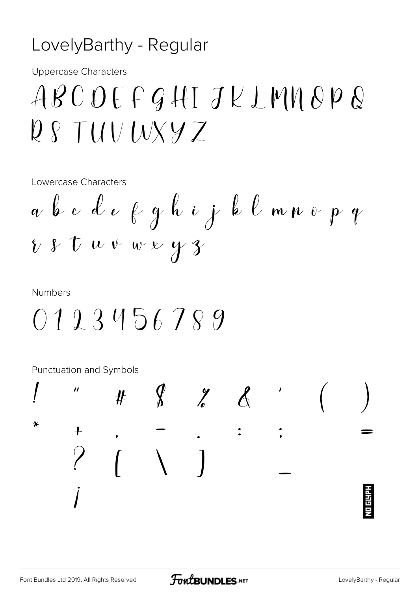#### LovelyBarthy - Regular

**Uppercase Characters** 

### ABCDEFGHIJKLMNOPQ  $Q \wr TUVUXYZ$

Lowercase Characters

**Numbers** 

Punctuation and Symbols

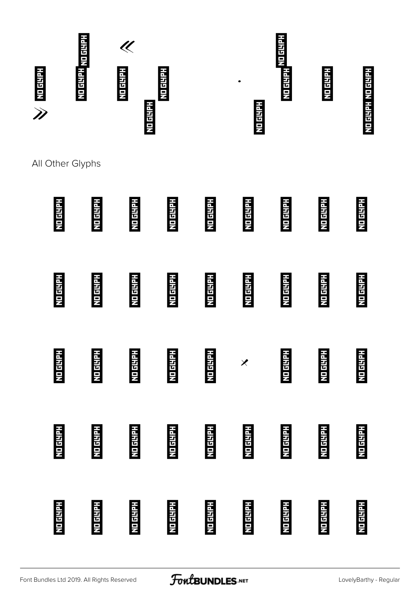

All Other Glyphs

# À Á Â Ã Ä Å Æ Ç È É Ê Ë Ì Í Î Ï Ð Ñ Ò Ó Ô Õ Ö × Ø Ù Ú Û Ü Ý Þ ß à á â ã ä å æ ç è é ê ë ì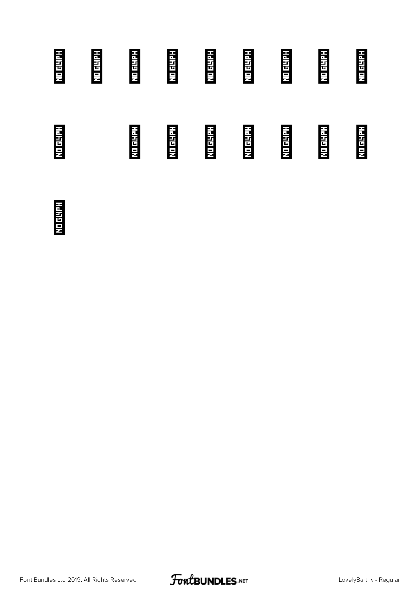## í î ï ð ñ ò ó ô õ ö ø ù ú û ü ý þ

ÿ

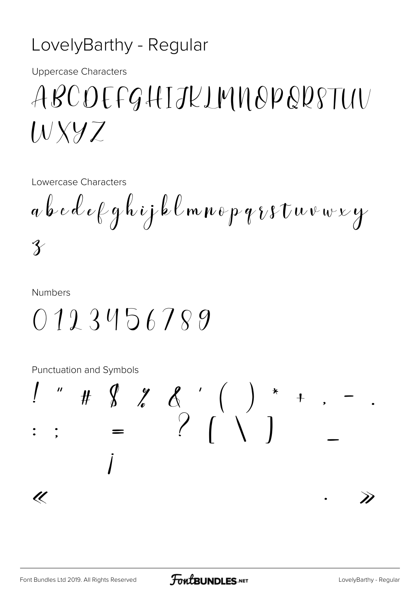#### LovelyBarthy - Regular

**Uppercase Characters** 

### ABCOEFGHIJKLMNOPQRSTUV  $W$  XYZ

Lowercase Characters

 $a \& c \& e \nmid q \nmid i \nmid b \nmid m \nmid p \nmid r \nmid t \nmid w \nmid y$  $\hat{\mathcal{X}}$ 

**Numbers** 

 $0123456789$ 

**Punctuation and Symbols** 

#  $\begin{array}{ccc} 1 & 1 & 1 \\ 1 & 1 & 1 \\ 1 & 1 & 1 \end{array}$  =  $\begin{array}{ccc} 1 & 1 & 1 \\ 1 & 1 & 1 \\ 1 & 1 & 1 \end{array}$  (  $\overline{\mathscr{U}}$